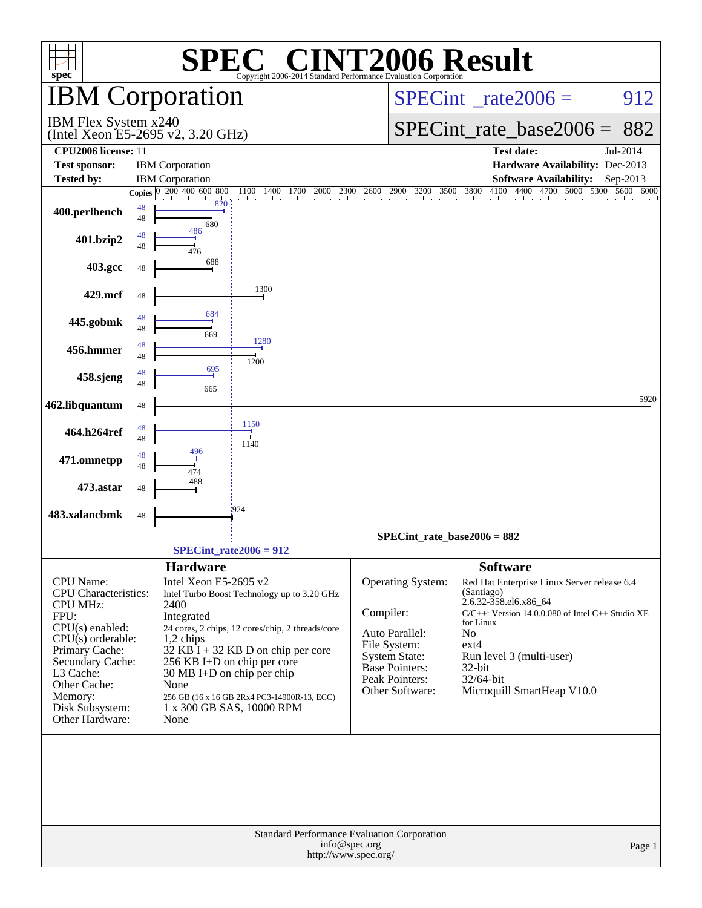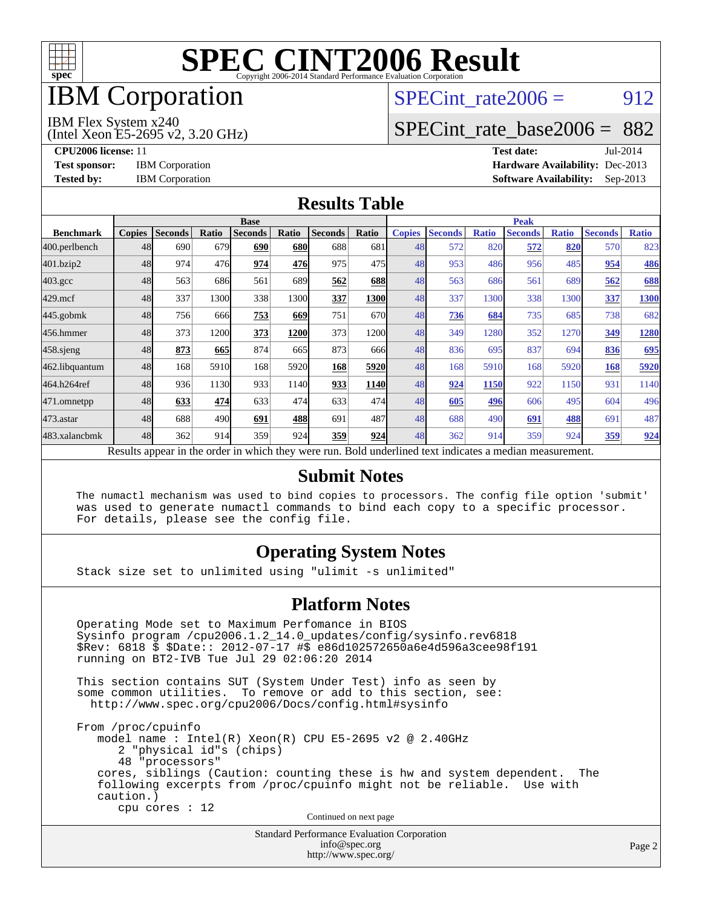

## **IBM** Corporation

## SPECint rate $2006 = 912$

#### IBM Flex System x240

(Intel Xeon E5-2695 v2, 3.20 GHz)

[SPECint\\_rate\\_base2006 =](http://www.spec.org/auto/cpu2006/Docs/result-fields.html#SPECintratebase2006) 882

**[CPU2006 license:](http://www.spec.org/auto/cpu2006/Docs/result-fields.html#CPU2006license)** 11 **[Test date:](http://www.spec.org/auto/cpu2006/Docs/result-fields.html#Testdate)** Jul-2014 **[Test sponsor:](http://www.spec.org/auto/cpu2006/Docs/result-fields.html#Testsponsor)** IBM Corporation **[Hardware Availability:](http://www.spec.org/auto/cpu2006/Docs/result-fields.html#HardwareAvailability)** Dec-2013 **[Tested by:](http://www.spec.org/auto/cpu2006/Docs/result-fields.html#Testedby)** IBM Corporation **[Software Availability:](http://www.spec.org/auto/cpu2006/Docs/result-fields.html#SoftwareAvailability)** Sep-2013

#### **[Results Table](http://www.spec.org/auto/cpu2006/Docs/result-fields.html#ResultsTable)**

|                    | <b>Base</b>   |                |       |                                                                                                          |            |                |             | <b>Peak</b>   |                |              |                |              |                |              |
|--------------------|---------------|----------------|-------|----------------------------------------------------------------------------------------------------------|------------|----------------|-------------|---------------|----------------|--------------|----------------|--------------|----------------|--------------|
| <b>Benchmark</b>   | <b>Copies</b> | <b>Seconds</b> | Ratio | <b>Seconds</b>                                                                                           | Ratio      | <b>Seconds</b> | Ratio       | <b>Copies</b> | <b>Seconds</b> | <b>Ratio</b> | <b>Seconds</b> | <b>Ratio</b> | <b>Seconds</b> | <b>Ratio</b> |
| 400.perlbench      | 48            | 690            | 679   | 690                                                                                                      | <b>680</b> | 688            | 681         | 48            | 572            | 820          | 572            | 820          | 570            | 823          |
| 401.bzip2          | 48            | 974            | 476   | 974                                                                                                      | 476        | 975            | 475         | 48            | 953            | 486          | 956            | 485          | 954            | 486          |
| $403.\mathrm{gcc}$ | 48            | 563            | 686   | 561                                                                                                      | 689        | 562            | 688         | 48            | 563            | 686          | 561            | 689          | 562            | 688          |
| $429$ .mcf         | 48            | 337            | 1300  | 338                                                                                                      | 1300       | 337            | 1300        | 48            | 337            | 1300         | 338            | 1300         | 337            | 1300         |
| 445.gobmk          | 48            | 756            | 666   | 753                                                                                                      | 669        | 751            | 670         | 48            | 736            | 684          | 735            | 685          | 738            | 682          |
| 456.hmmer          | 48            | 373            | 1200  | 373                                                                                                      | 1200       | 373            | 1200        | 48            | 349            | 1280         | 352            | 1270         | 349            | 1280         |
| 458 sjeng          | 48            | 873            | 665   | 874                                                                                                      | 665        | 873            | 666         | 48            | 836            | 695          | 837            | 694          | 836            | 695          |
| 462.libquantum     | 48            | 168            | 5910  | 168                                                                                                      | 5920       | 168            | 5920        | 48            | 168            | 5910         | 168            | 5920         | 168            | 5920         |
| 464.h264ref        | 48            | 936            | 1130  | 933                                                                                                      | 1140       | 933            | <b>1140</b> | 48            | 924            | 1150         | 922            | 1150         | 931            | 1140         |
| 471.omnetpp        | 48            | 633            | 474   | 633                                                                                                      | 474        | 633            | 474         | 48            | 605            | 496          | 606            | 495          | 604            | 496          |
| $473$ . astar      | 48            | 688            | 490   | 691                                                                                                      | 488        | 691            | 487         | 48            | 688            | 490          | 691            | 488          | 691            | 487          |
| 483.xalancbmk      | 48            | 362            | 914   | 359                                                                                                      | 924        | 359            | 924         | 48            | 362            | 914          | 359            | 924          | 359            | 924          |
|                    |               |                |       | Results appear in the order in which they were run. Bold underlined text indicates a median measurement. |            |                |             |               |                |              |                |              |                |              |

#### **[Submit Notes](http://www.spec.org/auto/cpu2006/Docs/result-fields.html#SubmitNotes)**

 The numactl mechanism was used to bind copies to processors. The config file option 'submit' was used to generate numactl commands to bind each copy to a specific processor. For details, please see the config file.

#### **[Operating System Notes](http://www.spec.org/auto/cpu2006/Docs/result-fields.html#OperatingSystemNotes)**

Stack size set to unlimited using "ulimit -s unlimited"

#### **[Platform Notes](http://www.spec.org/auto/cpu2006/Docs/result-fields.html#PlatformNotes)**

 Operating Mode set to Maximum Perfomance in BIOS Sysinfo program /cpu2006.1.2\_14.0\_updates/config/sysinfo.rev6818 \$Rev: 6818 \$ \$Date:: 2012-07-17 #\$ e86d102572650a6e4d596a3cee98f191 running on BT2-IVB Tue Jul 29 02:06:20 2014

 This section contains SUT (System Under Test) info as seen by some common utilities. To remove or add to this section, see: <http://www.spec.org/cpu2006/Docs/config.html#sysinfo>

 From /proc/cpuinfo model name : Intel(R) Xeon(R) CPU E5-2695 v2 @ 2.40GHz 2 "physical id"s (chips) 48 "processors" cores, siblings (Caution: counting these is hw and system dependent. The following excerpts from /proc/cpuinfo might not be reliable. Use with caution.) cpu cores : 12

Continued on next page

Standard Performance Evaluation Corporation [info@spec.org](mailto:info@spec.org) <http://www.spec.org/>

Page 2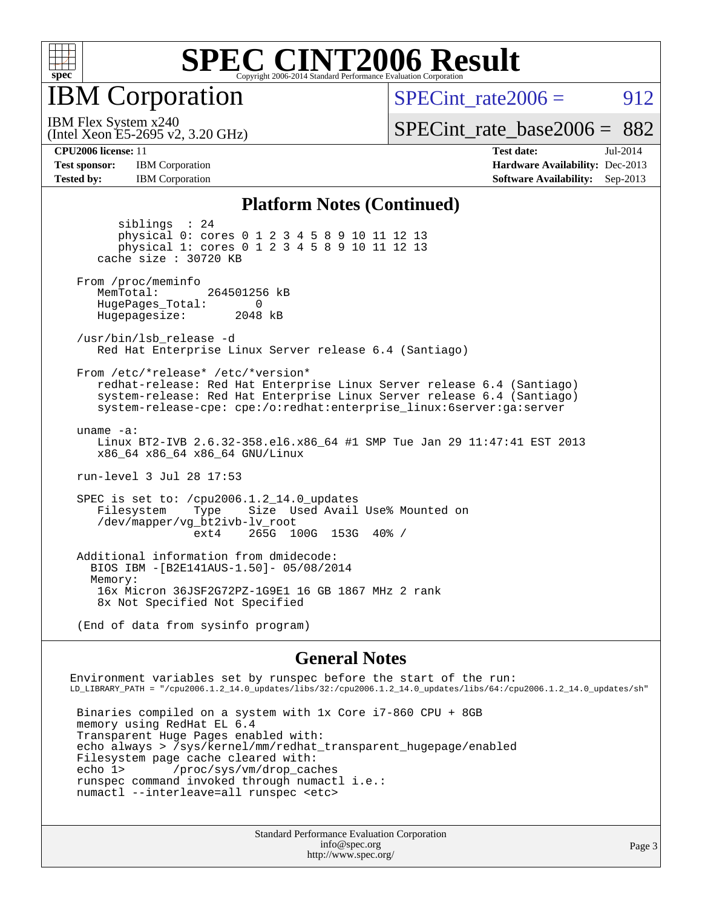

**IBM** Corporation

SPECint rate $2006 = 912$ 

(Intel Xeon E5-2695 v2, 3.20 GHz) IBM Flex System x240

[SPECint\\_rate\\_base2006 =](http://www.spec.org/auto/cpu2006/Docs/result-fields.html#SPECintratebase2006) 882

**[Test sponsor:](http://www.spec.org/auto/cpu2006/Docs/result-fields.html#Testsponsor)** IBM Corporation **[Hardware Availability:](http://www.spec.org/auto/cpu2006/Docs/result-fields.html#HardwareAvailability)** Dec-2013

**[CPU2006 license:](http://www.spec.org/auto/cpu2006/Docs/result-fields.html#CPU2006license)** 11 **[Test date:](http://www.spec.org/auto/cpu2006/Docs/result-fields.html#Testdate)** Jul-2014 **[Tested by:](http://www.spec.org/auto/cpu2006/Docs/result-fields.html#Testedby)** IBM Corporation **[Software Availability:](http://www.spec.org/auto/cpu2006/Docs/result-fields.html#SoftwareAvailability)** Sep-2013

#### **[Platform Notes \(Continued\)](http://www.spec.org/auto/cpu2006/Docs/result-fields.html#PlatformNotes)**

 siblings : 24 physical 0: cores 0 1 2 3 4 5 8 9 10 11 12 13 physical 1: cores 0 1 2 3 4 5 8 9 10 11 12 13 cache size : 30720 KB From /proc/meminfo MemTotal: 264501256 kB HugePages\_Total: 0<br>Hugepagesize: 2048 kB Hugepagesize: /usr/bin/lsb\_release -d Red Hat Enterprise Linux Server release 6.4 (Santiago) From /etc/\*release\* /etc/\*version\* redhat-release: Red Hat Enterprise Linux Server release 6.4 (Santiago) system-release: Red Hat Enterprise Linux Server release 6.4 (Santiago) system-release-cpe: cpe:/o:redhat:enterprise\_linux:6server:ga:server uname -a: Linux BT2-IVB 2.6.32-358.el6.x86\_64 #1 SMP Tue Jan 29 11:47:41 EST 2013 x86\_64 x86\_64 x86\_64 GNU/Linux run-level 3 Jul 28 17:53 SPEC is set to: /cpu2006.1.2\_14.0\_updates<br>Filesystem Type Size Used Avail Size Used Avail Use% Mounted on /dev/mapper/vg\_bt2ivb-lv\_root ext4 265G 100G 153G 40% / Additional information from dmidecode: BIOS IBM -[B2E141AUS-1.50]- 05/08/2014 Memory: 16x Micron 36JSF2G72PZ-1G9E1 16 GB 1867 MHz 2 rank 8x Not Specified Not Specified (End of data from sysinfo program)

**[General Notes](http://www.spec.org/auto/cpu2006/Docs/result-fields.html#GeneralNotes)**

Environment variables set by runspec before the start of the run: LD\_LIBRARY\_PATH = "/cpu2006.1.2\_14.0\_updates/libs/32:/cpu2006.1.2\_14.0\_updates/libs/64:/cpu2006.1.2\_14.0\_updates/sh" Binaries compiled on a system with 1x Core i7-860 CPU + 8GB

 memory using RedHat EL 6.4 Transparent Huge Pages enabled with: echo always > /sys/kernel/mm/redhat\_transparent\_hugepage/enabled Filesystem page cache cleared with: echo 1> /proc/sys/vm/drop\_caches runspec command invoked through numactl i.e.: numactl --interleave=all runspec <etc>

> Standard Performance Evaluation Corporation [info@spec.org](mailto:info@spec.org) <http://www.spec.org/>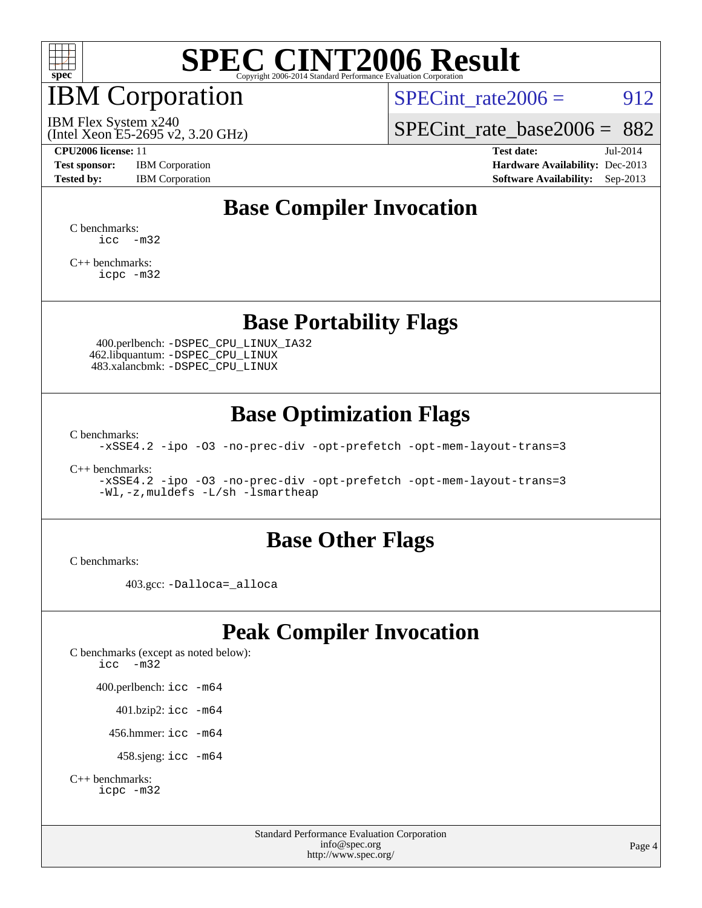

## IBM Corporation

SPECint rate $2006 = 912$ 

(Intel Xeon E5-2695 v2, 3.20 GHz) IBM Flex System x240

[SPECint\\_rate\\_base2006 =](http://www.spec.org/auto/cpu2006/Docs/result-fields.html#SPECintratebase2006) 882

**[Test sponsor:](http://www.spec.org/auto/cpu2006/Docs/result-fields.html#Testsponsor)** IBM Corporation **[Hardware Availability:](http://www.spec.org/auto/cpu2006/Docs/result-fields.html#HardwareAvailability)** Dec-2013

**[CPU2006 license:](http://www.spec.org/auto/cpu2006/Docs/result-fields.html#CPU2006license)** 11 **[Test date:](http://www.spec.org/auto/cpu2006/Docs/result-fields.html#Testdate)** Jul-2014 **[Tested by:](http://www.spec.org/auto/cpu2006/Docs/result-fields.html#Testedby)** IBM Corporation **[Software Availability:](http://www.spec.org/auto/cpu2006/Docs/result-fields.html#SoftwareAvailability)** Sep-2013

### **[Base Compiler Invocation](http://www.spec.org/auto/cpu2006/Docs/result-fields.html#BaseCompilerInvocation)**

[C benchmarks](http://www.spec.org/auto/cpu2006/Docs/result-fields.html#Cbenchmarks):  $\text{icc}$   $-\text{m32}$ 

[C++ benchmarks:](http://www.spec.org/auto/cpu2006/Docs/result-fields.html#CXXbenchmarks) [icpc -m32](http://www.spec.org/cpu2006/results/res2014q3/cpu2006-20140806-30821.flags.html#user_CXXbase_intel_icpc_4e5a5ef1a53fd332b3c49e69c3330699)

#### **[Base Portability Flags](http://www.spec.org/auto/cpu2006/Docs/result-fields.html#BasePortabilityFlags)**

 400.perlbench: [-DSPEC\\_CPU\\_LINUX\\_IA32](http://www.spec.org/cpu2006/results/res2014q3/cpu2006-20140806-30821.flags.html#b400.perlbench_baseCPORTABILITY_DSPEC_CPU_LINUX_IA32) 462.libquantum: [-DSPEC\\_CPU\\_LINUX](http://www.spec.org/cpu2006/results/res2014q3/cpu2006-20140806-30821.flags.html#b462.libquantum_baseCPORTABILITY_DSPEC_CPU_LINUX) 483.xalancbmk: [-DSPEC\\_CPU\\_LINUX](http://www.spec.org/cpu2006/results/res2014q3/cpu2006-20140806-30821.flags.html#b483.xalancbmk_baseCXXPORTABILITY_DSPEC_CPU_LINUX)

### **[Base Optimization Flags](http://www.spec.org/auto/cpu2006/Docs/result-fields.html#BaseOptimizationFlags)**

[C benchmarks](http://www.spec.org/auto/cpu2006/Docs/result-fields.html#Cbenchmarks):

[-xSSE4.2](http://www.spec.org/cpu2006/results/res2014q3/cpu2006-20140806-30821.flags.html#user_CCbase_f-xSSE42_f91528193cf0b216347adb8b939d4107) [-ipo](http://www.spec.org/cpu2006/results/res2014q3/cpu2006-20140806-30821.flags.html#user_CCbase_f-ipo) [-O3](http://www.spec.org/cpu2006/results/res2014q3/cpu2006-20140806-30821.flags.html#user_CCbase_f-O3) [-no-prec-div](http://www.spec.org/cpu2006/results/res2014q3/cpu2006-20140806-30821.flags.html#user_CCbase_f-no-prec-div) [-opt-prefetch](http://www.spec.org/cpu2006/results/res2014q3/cpu2006-20140806-30821.flags.html#user_CCbase_f-opt-prefetch) [-opt-mem-layout-trans=3](http://www.spec.org/cpu2006/results/res2014q3/cpu2006-20140806-30821.flags.html#user_CCbase_f-opt-mem-layout-trans_a7b82ad4bd7abf52556d4961a2ae94d5)

[C++ benchmarks:](http://www.spec.org/auto/cpu2006/Docs/result-fields.html#CXXbenchmarks)

[-xSSE4.2](http://www.spec.org/cpu2006/results/res2014q3/cpu2006-20140806-30821.flags.html#user_CXXbase_f-xSSE42_f91528193cf0b216347adb8b939d4107) [-ipo](http://www.spec.org/cpu2006/results/res2014q3/cpu2006-20140806-30821.flags.html#user_CXXbase_f-ipo) [-O3](http://www.spec.org/cpu2006/results/res2014q3/cpu2006-20140806-30821.flags.html#user_CXXbase_f-O3) [-no-prec-div](http://www.spec.org/cpu2006/results/res2014q3/cpu2006-20140806-30821.flags.html#user_CXXbase_f-no-prec-div) [-opt-prefetch](http://www.spec.org/cpu2006/results/res2014q3/cpu2006-20140806-30821.flags.html#user_CXXbase_f-opt-prefetch) [-opt-mem-layout-trans=3](http://www.spec.org/cpu2006/results/res2014q3/cpu2006-20140806-30821.flags.html#user_CXXbase_f-opt-mem-layout-trans_a7b82ad4bd7abf52556d4961a2ae94d5) [-Wl,-z,muldefs](http://www.spec.org/cpu2006/results/res2014q3/cpu2006-20140806-30821.flags.html#user_CXXbase_link_force_multiple1_74079c344b956b9658436fd1b6dd3a8a) [-L/sh -lsmartheap](http://www.spec.org/cpu2006/results/res2014q3/cpu2006-20140806-30821.flags.html#user_CXXbase_SmartHeap_32f6c82aa1ed9c52345d30cf6e4a0499)

#### **[Base Other Flags](http://www.spec.org/auto/cpu2006/Docs/result-fields.html#BaseOtherFlags)**

[C benchmarks](http://www.spec.org/auto/cpu2006/Docs/result-fields.html#Cbenchmarks):

403.gcc: [-Dalloca=\\_alloca](http://www.spec.org/cpu2006/results/res2014q3/cpu2006-20140806-30821.flags.html#b403.gcc_baseEXTRA_CFLAGS_Dalloca_be3056838c12de2578596ca5467af7f3)

### **[Peak Compiler Invocation](http://www.spec.org/auto/cpu2006/Docs/result-fields.html#PeakCompilerInvocation)**

[C benchmarks \(except as noted below\)](http://www.spec.org/auto/cpu2006/Docs/result-fields.html#Cbenchmarksexceptasnotedbelow): [icc -m32](http://www.spec.org/cpu2006/results/res2014q3/cpu2006-20140806-30821.flags.html#user_CCpeak_intel_icc_5ff4a39e364c98233615fdd38438c6f2) 400.perlbench: [icc -m64](http://www.spec.org/cpu2006/results/res2014q3/cpu2006-20140806-30821.flags.html#user_peakCCLD400_perlbench_intel_icc_64bit_bda6cc9af1fdbb0edc3795bac97ada53) 401.bzip2: [icc -m64](http://www.spec.org/cpu2006/results/res2014q3/cpu2006-20140806-30821.flags.html#user_peakCCLD401_bzip2_intel_icc_64bit_bda6cc9af1fdbb0edc3795bac97ada53)

456.hmmer: [icc -m64](http://www.spec.org/cpu2006/results/res2014q3/cpu2006-20140806-30821.flags.html#user_peakCCLD456_hmmer_intel_icc_64bit_bda6cc9af1fdbb0edc3795bac97ada53)

458.sjeng: [icc -m64](http://www.spec.org/cpu2006/results/res2014q3/cpu2006-20140806-30821.flags.html#user_peakCCLD458_sjeng_intel_icc_64bit_bda6cc9af1fdbb0edc3795bac97ada53)

```
C++ benchmarks: 
icpc -m32
```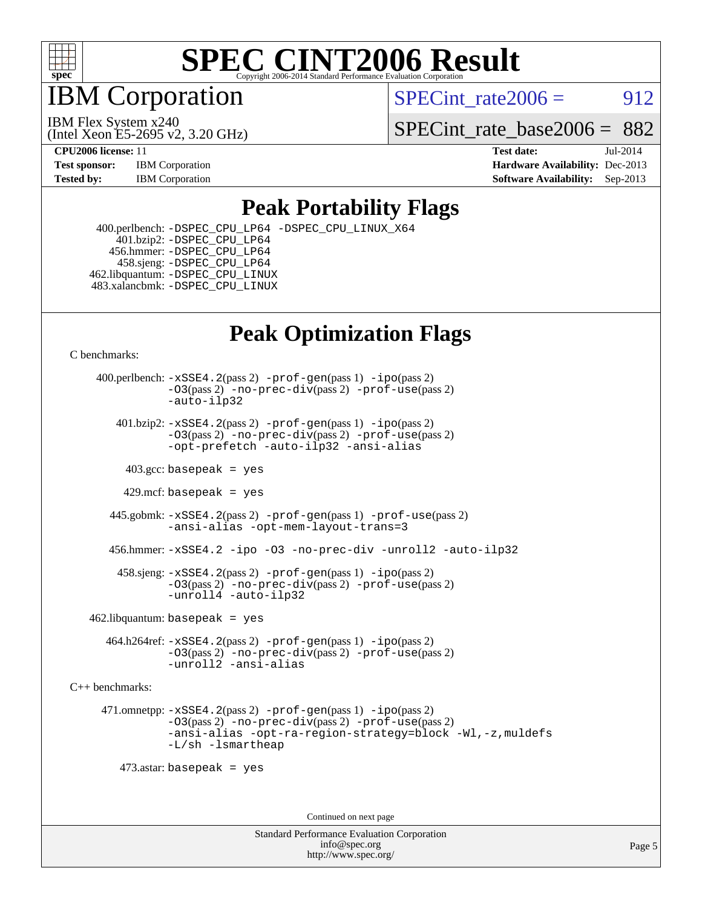

IBM Corporation

SPECint rate $2006 = 912$ 

(Intel Xeon E5-2695 v2, 3.20 GHz) IBM Flex System x240

SPECint rate base2006 =  $882$ 

**[CPU2006 license:](http://www.spec.org/auto/cpu2006/Docs/result-fields.html#CPU2006license)** 11 **[Test date:](http://www.spec.org/auto/cpu2006/Docs/result-fields.html#Testdate)** Jul-2014 **[Test sponsor:](http://www.spec.org/auto/cpu2006/Docs/result-fields.html#Testsponsor)** IBM Corporation **[Hardware Availability:](http://www.spec.org/auto/cpu2006/Docs/result-fields.html#HardwareAvailability)** Dec-2013 **[Tested by:](http://www.spec.org/auto/cpu2006/Docs/result-fields.html#Testedby)** IBM Corporation **[Software Availability:](http://www.spec.org/auto/cpu2006/Docs/result-fields.html#SoftwareAvailability)** Sep-2013

### **[Peak Portability Flags](http://www.spec.org/auto/cpu2006/Docs/result-fields.html#PeakPortabilityFlags)**

 400.perlbench: [-DSPEC\\_CPU\\_LP64](http://www.spec.org/cpu2006/results/res2014q3/cpu2006-20140806-30821.flags.html#b400.perlbench_peakCPORTABILITY_DSPEC_CPU_LP64) [-DSPEC\\_CPU\\_LINUX\\_X64](http://www.spec.org/cpu2006/results/res2014q3/cpu2006-20140806-30821.flags.html#b400.perlbench_peakCPORTABILITY_DSPEC_CPU_LINUX_X64) 401.bzip2: [-DSPEC\\_CPU\\_LP64](http://www.spec.org/cpu2006/results/res2014q3/cpu2006-20140806-30821.flags.html#suite_peakCPORTABILITY401_bzip2_DSPEC_CPU_LP64) 456.hmmer: [-DSPEC\\_CPU\\_LP64](http://www.spec.org/cpu2006/results/res2014q3/cpu2006-20140806-30821.flags.html#suite_peakCPORTABILITY456_hmmer_DSPEC_CPU_LP64) 458.sjeng: [-DSPEC\\_CPU\\_LP64](http://www.spec.org/cpu2006/results/res2014q3/cpu2006-20140806-30821.flags.html#suite_peakCPORTABILITY458_sjeng_DSPEC_CPU_LP64) 462.libquantum: [-DSPEC\\_CPU\\_LINUX](http://www.spec.org/cpu2006/results/res2014q3/cpu2006-20140806-30821.flags.html#b462.libquantum_peakCPORTABILITY_DSPEC_CPU_LINUX) 483.xalancbmk: [-DSPEC\\_CPU\\_LINUX](http://www.spec.org/cpu2006/results/res2014q3/cpu2006-20140806-30821.flags.html#b483.xalancbmk_peakCXXPORTABILITY_DSPEC_CPU_LINUX)

### **[Peak Optimization Flags](http://www.spec.org/auto/cpu2006/Docs/result-fields.html#PeakOptimizationFlags)**

[C benchmarks](http://www.spec.org/auto/cpu2006/Docs/result-fields.html#Cbenchmarks):

 400.perlbench: [-xSSE4.2](http://www.spec.org/cpu2006/results/res2014q3/cpu2006-20140806-30821.flags.html#user_peakPASS2_CFLAGSPASS2_LDCFLAGS400_perlbench_f-xSSE42_f91528193cf0b216347adb8b939d4107)(pass 2) [-prof-gen](http://www.spec.org/cpu2006/results/res2014q3/cpu2006-20140806-30821.flags.html#user_peakPASS1_CFLAGSPASS1_LDCFLAGS400_perlbench_prof_gen_e43856698f6ca7b7e442dfd80e94a8fc)(pass 1) [-ipo](http://www.spec.org/cpu2006/results/res2014q3/cpu2006-20140806-30821.flags.html#user_peakPASS2_CFLAGSPASS2_LDCFLAGS400_perlbench_f-ipo)(pass 2) [-O3](http://www.spec.org/cpu2006/results/res2014q3/cpu2006-20140806-30821.flags.html#user_peakPASS2_CFLAGSPASS2_LDCFLAGS400_perlbench_f-O3)(pass 2) [-no-prec-div](http://www.spec.org/cpu2006/results/res2014q3/cpu2006-20140806-30821.flags.html#user_peakPASS2_CFLAGSPASS2_LDCFLAGS400_perlbench_f-no-prec-div)(pass 2) [-prof-use](http://www.spec.org/cpu2006/results/res2014q3/cpu2006-20140806-30821.flags.html#user_peakPASS2_CFLAGSPASS2_LDCFLAGS400_perlbench_prof_use_bccf7792157ff70d64e32fe3e1250b55)(pass 2) [-auto-ilp32](http://www.spec.org/cpu2006/results/res2014q3/cpu2006-20140806-30821.flags.html#user_peakCOPTIMIZE400_perlbench_f-auto-ilp32)  $401.bzip2: -xSSE4.2(pass 2) -prof-qen(pass 1) -ipo(pass 2)$  $401.bzip2: -xSSE4.2(pass 2) -prof-qen(pass 1) -ipo(pass 2)$  $401.bzip2: -xSSE4.2(pass 2) -prof-qen(pass 1) -ipo(pass 2)$  $401.bzip2: -xSSE4.2(pass 2) -prof-qen(pass 1) -ipo(pass 2)$  $401.bzip2: -xSSE4.2(pass 2) -prof-qen(pass 1) -ipo(pass 2)$ [-O3](http://www.spec.org/cpu2006/results/res2014q3/cpu2006-20140806-30821.flags.html#user_peakPASS2_CFLAGSPASS2_LDCFLAGS401_bzip2_f-O3)(pass 2) [-no-prec-div](http://www.spec.org/cpu2006/results/res2014q3/cpu2006-20140806-30821.flags.html#user_peakPASS2_CFLAGSPASS2_LDCFLAGS401_bzip2_f-no-prec-div)(pass 2) [-prof-use](http://www.spec.org/cpu2006/results/res2014q3/cpu2006-20140806-30821.flags.html#user_peakPASS2_CFLAGSPASS2_LDCFLAGS401_bzip2_prof_use_bccf7792157ff70d64e32fe3e1250b55)(pass 2) [-opt-prefetch](http://www.spec.org/cpu2006/results/res2014q3/cpu2006-20140806-30821.flags.html#user_peakCOPTIMIZE401_bzip2_f-opt-prefetch) [-auto-ilp32](http://www.spec.org/cpu2006/results/res2014q3/cpu2006-20140806-30821.flags.html#user_peakCOPTIMIZE401_bzip2_f-auto-ilp32) [-ansi-alias](http://www.spec.org/cpu2006/results/res2014q3/cpu2006-20140806-30821.flags.html#user_peakCOPTIMIZE401_bzip2_f-ansi-alias)  $403.\text{sec: basepeak}$  = yes 429.mcf: basepeak = yes 445.gobmk: [-xSSE4.2](http://www.spec.org/cpu2006/results/res2014q3/cpu2006-20140806-30821.flags.html#user_peakPASS2_CFLAGSPASS2_LDCFLAGS445_gobmk_f-xSSE42_f91528193cf0b216347adb8b939d4107)(pass 2) [-prof-gen](http://www.spec.org/cpu2006/results/res2014q3/cpu2006-20140806-30821.flags.html#user_peakPASS1_CFLAGSPASS1_LDCFLAGS445_gobmk_prof_gen_e43856698f6ca7b7e442dfd80e94a8fc)(pass 1) [-prof-use](http://www.spec.org/cpu2006/results/res2014q3/cpu2006-20140806-30821.flags.html#user_peakPASS2_CFLAGSPASS2_LDCFLAGS445_gobmk_prof_use_bccf7792157ff70d64e32fe3e1250b55)(pass 2) [-ansi-alias](http://www.spec.org/cpu2006/results/res2014q3/cpu2006-20140806-30821.flags.html#user_peakCOPTIMIZE445_gobmk_f-ansi-alias) [-opt-mem-layout-trans=3](http://www.spec.org/cpu2006/results/res2014q3/cpu2006-20140806-30821.flags.html#user_peakCOPTIMIZE445_gobmk_f-opt-mem-layout-trans_a7b82ad4bd7abf52556d4961a2ae94d5) 456.hmmer: [-xSSE4.2](http://www.spec.org/cpu2006/results/res2014q3/cpu2006-20140806-30821.flags.html#user_peakCOPTIMIZE456_hmmer_f-xSSE42_f91528193cf0b216347adb8b939d4107) [-ipo](http://www.spec.org/cpu2006/results/res2014q3/cpu2006-20140806-30821.flags.html#user_peakCOPTIMIZE456_hmmer_f-ipo) [-O3](http://www.spec.org/cpu2006/results/res2014q3/cpu2006-20140806-30821.flags.html#user_peakCOPTIMIZE456_hmmer_f-O3) [-no-prec-div](http://www.spec.org/cpu2006/results/res2014q3/cpu2006-20140806-30821.flags.html#user_peakCOPTIMIZE456_hmmer_f-no-prec-div) [-unroll2](http://www.spec.org/cpu2006/results/res2014q3/cpu2006-20140806-30821.flags.html#user_peakCOPTIMIZE456_hmmer_f-unroll_784dae83bebfb236979b41d2422d7ec2) [-auto-ilp32](http://www.spec.org/cpu2006/results/res2014q3/cpu2006-20140806-30821.flags.html#user_peakCOPTIMIZE456_hmmer_f-auto-ilp32) 458.sjeng: [-xSSE4.2](http://www.spec.org/cpu2006/results/res2014q3/cpu2006-20140806-30821.flags.html#user_peakPASS2_CFLAGSPASS2_LDCFLAGS458_sjeng_f-xSSE42_f91528193cf0b216347adb8b939d4107)(pass 2) [-prof-gen](http://www.spec.org/cpu2006/results/res2014q3/cpu2006-20140806-30821.flags.html#user_peakPASS1_CFLAGSPASS1_LDCFLAGS458_sjeng_prof_gen_e43856698f6ca7b7e442dfd80e94a8fc)(pass 1) [-ipo](http://www.spec.org/cpu2006/results/res2014q3/cpu2006-20140806-30821.flags.html#user_peakPASS2_CFLAGSPASS2_LDCFLAGS458_sjeng_f-ipo)(pass 2) [-O3](http://www.spec.org/cpu2006/results/res2014q3/cpu2006-20140806-30821.flags.html#user_peakPASS2_CFLAGSPASS2_LDCFLAGS458_sjeng_f-O3)(pass 2) [-no-prec-div](http://www.spec.org/cpu2006/results/res2014q3/cpu2006-20140806-30821.flags.html#user_peakPASS2_CFLAGSPASS2_LDCFLAGS458_sjeng_f-no-prec-div)(pass 2) [-prof-use](http://www.spec.org/cpu2006/results/res2014q3/cpu2006-20140806-30821.flags.html#user_peakPASS2_CFLAGSPASS2_LDCFLAGS458_sjeng_prof_use_bccf7792157ff70d64e32fe3e1250b55)(pass 2) [-unroll4](http://www.spec.org/cpu2006/results/res2014q3/cpu2006-20140806-30821.flags.html#user_peakCOPTIMIZE458_sjeng_f-unroll_4e5e4ed65b7fd20bdcd365bec371b81f) [-auto-ilp32](http://www.spec.org/cpu2006/results/res2014q3/cpu2006-20140806-30821.flags.html#user_peakCOPTIMIZE458_sjeng_f-auto-ilp32)  $462$ .libquantum: basepeak = yes 464.h264ref: [-xSSE4.2](http://www.spec.org/cpu2006/results/res2014q3/cpu2006-20140806-30821.flags.html#user_peakPASS2_CFLAGSPASS2_LDCFLAGS464_h264ref_f-xSSE42_f91528193cf0b216347adb8b939d4107)(pass 2) [-prof-gen](http://www.spec.org/cpu2006/results/res2014q3/cpu2006-20140806-30821.flags.html#user_peakPASS1_CFLAGSPASS1_LDCFLAGS464_h264ref_prof_gen_e43856698f6ca7b7e442dfd80e94a8fc)(pass 1) [-ipo](http://www.spec.org/cpu2006/results/res2014q3/cpu2006-20140806-30821.flags.html#user_peakPASS2_CFLAGSPASS2_LDCFLAGS464_h264ref_f-ipo)(pass 2) [-O3](http://www.spec.org/cpu2006/results/res2014q3/cpu2006-20140806-30821.flags.html#user_peakPASS2_CFLAGSPASS2_LDCFLAGS464_h264ref_f-O3)(pass 2) [-no-prec-div](http://www.spec.org/cpu2006/results/res2014q3/cpu2006-20140806-30821.flags.html#user_peakPASS2_CFLAGSPASS2_LDCFLAGS464_h264ref_f-no-prec-div)(pass 2) [-prof-use](http://www.spec.org/cpu2006/results/res2014q3/cpu2006-20140806-30821.flags.html#user_peakPASS2_CFLAGSPASS2_LDCFLAGS464_h264ref_prof_use_bccf7792157ff70d64e32fe3e1250b55)(pass 2) [-unroll2](http://www.spec.org/cpu2006/results/res2014q3/cpu2006-20140806-30821.flags.html#user_peakCOPTIMIZE464_h264ref_f-unroll_784dae83bebfb236979b41d2422d7ec2) [-ansi-alias](http://www.spec.org/cpu2006/results/res2014q3/cpu2006-20140806-30821.flags.html#user_peakCOPTIMIZE464_h264ref_f-ansi-alias) [C++ benchmarks:](http://www.spec.org/auto/cpu2006/Docs/result-fields.html#CXXbenchmarks) 471.omnetpp: [-xSSE4.2](http://www.spec.org/cpu2006/results/res2014q3/cpu2006-20140806-30821.flags.html#user_peakPASS2_CXXFLAGSPASS2_LDCXXFLAGS471_omnetpp_f-xSSE42_f91528193cf0b216347adb8b939d4107)(pass 2) [-prof-gen](http://www.spec.org/cpu2006/results/res2014q3/cpu2006-20140806-30821.flags.html#user_peakPASS1_CXXFLAGSPASS1_LDCXXFLAGS471_omnetpp_prof_gen_e43856698f6ca7b7e442dfd80e94a8fc)(pass 1) [-ipo](http://www.spec.org/cpu2006/results/res2014q3/cpu2006-20140806-30821.flags.html#user_peakPASS2_CXXFLAGSPASS2_LDCXXFLAGS471_omnetpp_f-ipo)(pass 2) [-O3](http://www.spec.org/cpu2006/results/res2014q3/cpu2006-20140806-30821.flags.html#user_peakPASS2_CXXFLAGSPASS2_LDCXXFLAGS471_omnetpp_f-O3)(pass 2) [-no-prec-div](http://www.spec.org/cpu2006/results/res2014q3/cpu2006-20140806-30821.flags.html#user_peakPASS2_CXXFLAGSPASS2_LDCXXFLAGS471_omnetpp_f-no-prec-div)(pass 2) [-prof-use](http://www.spec.org/cpu2006/results/res2014q3/cpu2006-20140806-30821.flags.html#user_peakPASS2_CXXFLAGSPASS2_LDCXXFLAGS471_omnetpp_prof_use_bccf7792157ff70d64e32fe3e1250b55)(pass 2) [-ansi-alias](http://www.spec.org/cpu2006/results/res2014q3/cpu2006-20140806-30821.flags.html#user_peakCXXOPTIMIZE471_omnetpp_f-ansi-alias) [-opt-ra-region-strategy=block](http://www.spec.org/cpu2006/results/res2014q3/cpu2006-20140806-30821.flags.html#user_peakCXXOPTIMIZE471_omnetpp_f-opt-ra-region-strategy_a0a37c372d03933b2a18d4af463c1f69) [-Wl,-z,muldefs](http://www.spec.org/cpu2006/results/res2014q3/cpu2006-20140806-30821.flags.html#user_peakEXTRA_LDFLAGS471_omnetpp_link_force_multiple1_74079c344b956b9658436fd1b6dd3a8a) [-L/sh -lsmartheap](http://www.spec.org/cpu2006/results/res2014q3/cpu2006-20140806-30821.flags.html#user_peakEXTRA_LIBS471_omnetpp_SmartHeap_32f6c82aa1ed9c52345d30cf6e4a0499) 473.astar: basepeak = yes

Continued on next page

Standard Performance Evaluation Corporation [info@spec.org](mailto:info@spec.org) <http://www.spec.org/>